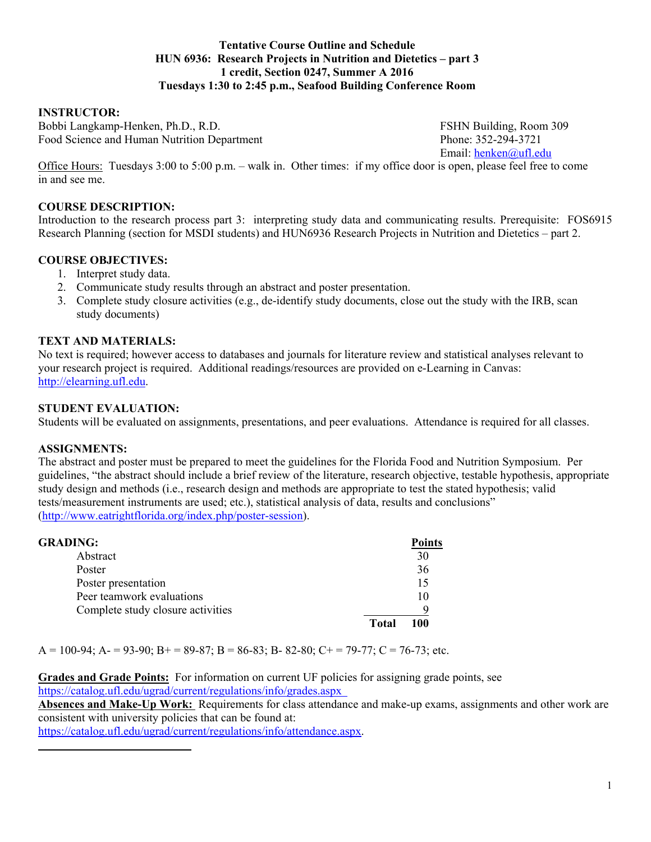# **Tentative Course Outline and Schedule HUN 6936: Research Projects in Nutrition and Dietetics – part 3 1 credit, Section 0247, Summer A 2016 Tuesdays 1:30 to 2:45 p.m., Seafood Building Conference Room**

# **INSTRUCTOR:**

Bobbi Langkamp-Henken, Ph.D., R.D. FSHN Building, Room 309 Food Science and Human Nutrition Department Phone: 352-294-3721

Email: henken@ufl.edu

Office Hours: Tuesdays 3:00 to 5:00 p.m. – walk in. Other times: if my office door is open, please feel free to come in and see me.

# **COURSE DESCRIPTION:**

Introduction to the research process part 3: interpreting study data and communicating results. Prerequisite: FOS6915 Research Planning (section for MSDI students) and HUN6936 Research Projects in Nutrition and Dietetics – part 2.

# **COURSE OBJECTIVES:**

- 1. Interpret study data.
- 2. Communicate study results through an abstract and poster presentation.
- 3. Complete study closure activities (e.g., de-identify study documents, close out the study with the IRB, scan study documents)

# **TEXT AND MATERIALS:**

No text is required; however access to databases and journals for literature review and statistical analyses relevant to your research project is required. Additional readings/resources are provided on e-Learning in Canvas: http://elearning.ufl.edu.

# **STUDENT EVALUATION:**

Students will be evaluated on assignments, presentations, and peer evaluations. Attendance is required for all classes.

#### **ASSIGNMENTS:**

The abstract and poster must be prepared to meet the guidelines for the Florida Food and Nutrition Symposium. Per guidelines, "the abstract should include a brief review of the literature, research objective, testable hypothesis, appropriate study design and methods (i.e., research design and methods are appropriate to test the stated hypothesis; valid tests/measurement instruments are used; etc.), statistical analysis of data, results and conclusions" (http://www.eatrightflorida.org/index.php/poster-session).

| <b>GRADING:</b>                   | <b>Points</b> |
|-----------------------------------|---------------|
| Abstract                          | 30            |
| Poster                            | 36            |
| Poster presentation               | 15            |
| Peer teamwork evaluations         | 10            |
| Complete study closure activities |               |
|                                   | 100<br>Total  |

 $A = 100-94$ ;  $A = 93-90$ ;  $B = 89-87$ ;  $B = 86-83$ ;  $B = 82-80$ ;  $C = 79-77$ ;  $C = 76-73$ ; etc.

**Grades and Grade Points:** For information on current UF policies for assigning grade points, see https://catalog.ufl.edu/ugrad/current/regulations/info/grades.aspx

**Absences and Make-Up Work:** Requirements for class attendance and make-up exams, assignments and other work are consistent with university policies that can be found at:

https://catalog.ufl.edu/ugrad/current/regulations/info/attendance.aspx.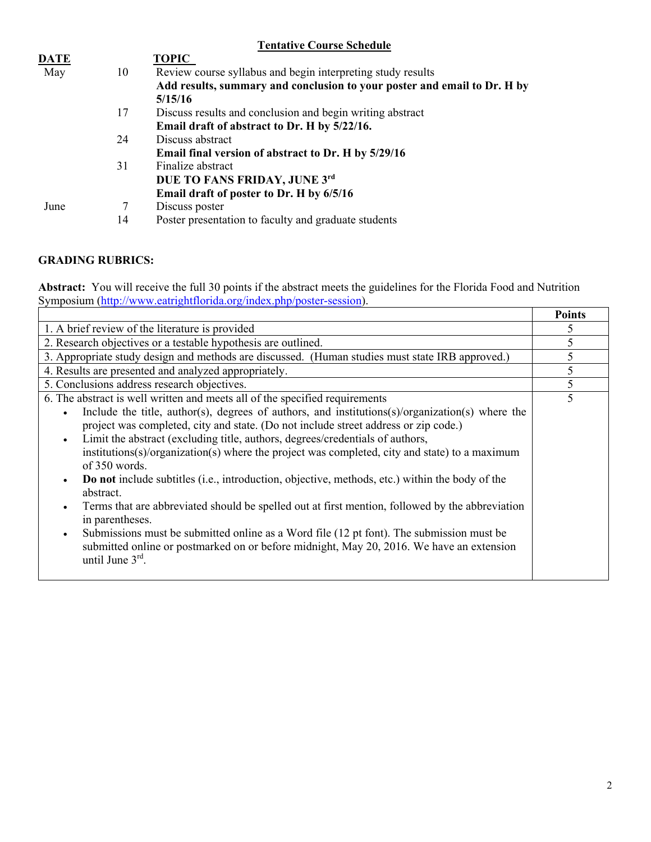# **Tentative Course Schedule**

| <b>DATE</b> |    | <b>TOPIC</b>                                                             |
|-------------|----|--------------------------------------------------------------------------|
| May         | 10 | Review course syllabus and begin interpreting study results              |
|             |    | Add results, summary and conclusion to your poster and email to Dr. H by |
|             |    | 5/15/16                                                                  |
|             | 17 | Discuss results and conclusion and begin writing abstract                |
|             |    | Email draft of abstract to Dr. H by 5/22/16.                             |
|             | 24 | Discuss abstract                                                         |
|             |    | Email final version of abstract to Dr. H by 5/29/16                      |
|             | 31 | Finalize abstract                                                        |
|             |    | DUE TO FANS FRIDAY, JUNE 3rd                                             |
|             |    | Email draft of poster to Dr. H by 6/5/16                                 |
| June        |    | Discuss poster                                                           |
|             | 14 | Poster presentation to faculty and graduate students                     |
|             |    |                                                                          |

# **GRADING RUBRICS:**

**Abstract:** You will receive the full 30 points if the abstract meets the guidelines for the Florida Food and Nutrition Symposium (http://www.eatrightflorida.org/index.php/poster-session).

|                                                                                                                                                                                                                                                                                                                                                                                                                                                                                                                                                                                                                                                                                                                                                                                                                                                                                                                                                                                                     | <b>Points</b> |
|-----------------------------------------------------------------------------------------------------------------------------------------------------------------------------------------------------------------------------------------------------------------------------------------------------------------------------------------------------------------------------------------------------------------------------------------------------------------------------------------------------------------------------------------------------------------------------------------------------------------------------------------------------------------------------------------------------------------------------------------------------------------------------------------------------------------------------------------------------------------------------------------------------------------------------------------------------------------------------------------------------|---------------|
| 1. A brief review of the literature is provided                                                                                                                                                                                                                                                                                                                                                                                                                                                                                                                                                                                                                                                                                                                                                                                                                                                                                                                                                     |               |
| 2. Research objectives or a testable hypothesis are outlined.                                                                                                                                                                                                                                                                                                                                                                                                                                                                                                                                                                                                                                                                                                                                                                                                                                                                                                                                       | 5             |
| 3. Appropriate study design and methods are discussed. (Human studies must state IRB approved.)                                                                                                                                                                                                                                                                                                                                                                                                                                                                                                                                                                                                                                                                                                                                                                                                                                                                                                     | 5             |
| 4. Results are presented and analyzed appropriately.                                                                                                                                                                                                                                                                                                                                                                                                                                                                                                                                                                                                                                                                                                                                                                                                                                                                                                                                                | 5             |
| 5. Conclusions address research objectives.                                                                                                                                                                                                                                                                                                                                                                                                                                                                                                                                                                                                                                                                                                                                                                                                                                                                                                                                                         | 5             |
| 6. The abstract is well written and meets all of the specified requirements<br>Include the title, author(s), degrees of authors, and institutions(s)/organization(s) where the<br>$\bullet$<br>project was completed, city and state. (Do not include street address or zip code.)<br>Limit the abstract (excluding title, authors, degrees/credentials of authors,<br>$\bullet$<br>institutions(s)/organization(s) where the project was completed, city and state) to a maximum<br>of 350 words.<br><b>Do not</b> include subtitles (i.e., introduction, objective, methods, etc.) within the body of the<br>$\bullet$<br>abstract.<br>Terms that are abbreviated should be spelled out at first mention, followed by the abbreviation<br>$\bullet$<br>in parentheses.<br>Submissions must be submitted online as a Word file (12 pt font). The submission must be<br>$\bullet$<br>submitted online or postmarked on or before midnight, May 20, 2016. We have an extension<br>until June $3rd$ . | 5             |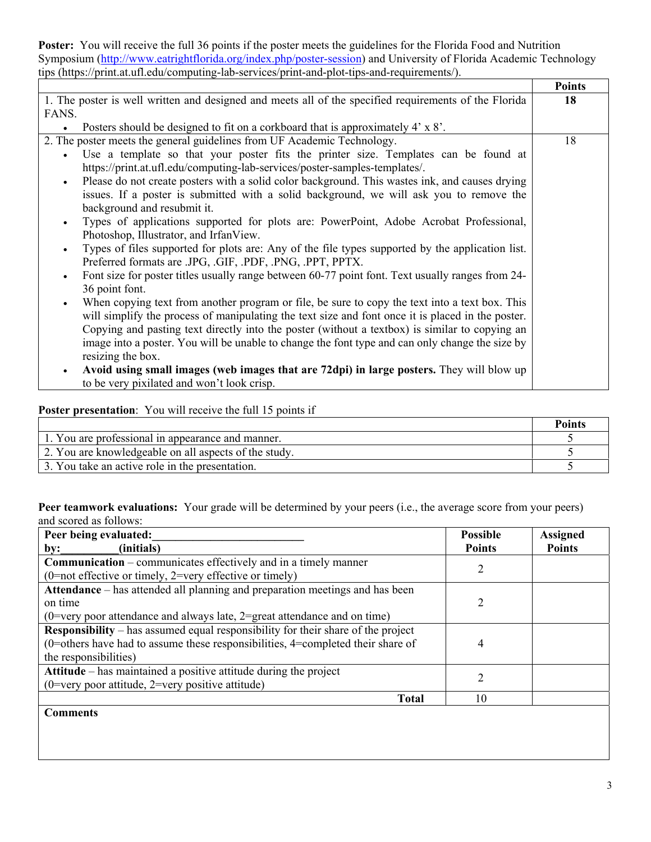Poster: You will receive the full 36 points if the poster meets the guidelines for the Florida Food and Nutrition Symposium (http://www.eatrightflorida.org/index.php/poster-session) and University of Florida Academic Technology tips (https://print.at.ufl.edu/computing-lab-services/print-and-plot-tips-and-requirements/).

|                                                                                                               | <b>Points</b> |
|---------------------------------------------------------------------------------------------------------------|---------------|
| 1. The poster is well written and designed and meets all of the specified requirements of the Florida         | 18            |
| FANS.                                                                                                         |               |
| Posters should be designed to fit on a corkboard that is approximately 4' x 8'.<br>$\bullet$                  |               |
| 2. The poster meets the general guidelines from UF Academic Technology.                                       | 18            |
| Use a template so that your poster fits the printer size. Templates can be found at<br>$\bullet$              |               |
| https://print.at.ufl.edu/computing-lab-services/poster-samples-templates/.                                    |               |
| Please do not create posters with a solid color background. This wastes ink, and causes drying<br>$\bullet$   |               |
| issues. If a poster is submitted with a solid background, we will ask you to remove the                       |               |
| background and resubmit it.                                                                                   |               |
| Types of applications supported for plots are: PowerPoint, Adobe Acrobat Professional,<br>$\bullet$           |               |
| Photoshop, Illustrator, and IrfanView.                                                                        |               |
| Types of files supported for plots are: Any of the file types supported by the application list.<br>$\bullet$ |               |
| Preferred formats are .JPG, .GIF, .PDF, .PNG, .PPT, PPTX.                                                     |               |
| Font size for poster titles usually range between 60-77 point font. Text usually ranges from 24-<br>$\bullet$ |               |
| 36 point font.                                                                                                |               |
| When copying text from another program or file, be sure to copy the text into a text box. This<br>$\bullet$   |               |
| will simplify the process of manipulating the text size and font once it is placed in the poster.             |               |
| Copying and pasting text directly into the poster (without a textbox) is similar to copying an                |               |
| image into a poster. You will be unable to change the font type and can only change the size by               |               |
| resizing the box.                                                                                             |               |
| Avoid using small images (web images that are 72dpi) in large posters. They will blow up<br>$\bullet$         |               |
| to be very pixilated and won't look crisp.                                                                    |               |

# **Poster presentation**: You will receive the full 15 points if

|                                                       | Points |
|-------------------------------------------------------|--------|
| 1. You are professional in appearance and manner.     |        |
| 2. You are knowledgeable on all aspects of the study. |        |
| 3. You take an active role in the presentation.       |        |

**Peer teamwork evaluations:** Your grade will be determined by your peers (i.e., the average score from your peers) and scored as follows:

| Peer being evaluated:                                                                   | <b>Possible</b> | <b>Assigned</b> |
|-----------------------------------------------------------------------------------------|-----------------|-----------------|
| (initials)<br>by:                                                                       | <b>Points</b>   | <b>Points</b>   |
| <b>Communication</b> – communicates effectively and in a timely manner                  | 2               |                 |
| $(0=$ not effective or timely, 2=very effective or timely)                              |                 |                 |
| Attendance – has attended all planning and preparation meetings and has been            |                 |                 |
| on time                                                                                 | 2               |                 |
| $(0=$ very poor attendance and always late, 2=great attendance and on time)             |                 |                 |
| <b>Responsibility</b> – has assumed equal responsibility for their share of the project |                 |                 |
| (0=others have had to assume these responsibilities, 4=completed their share of         | 4               |                 |
| the responsibilities)                                                                   |                 |                 |
| Attitude – has maintained a positive attitude during the project                        | 2               |                 |
| $(0=$ very poor attitude, $2=$ very positive attitude)                                  |                 |                 |
| <b>Total</b>                                                                            | 10              |                 |
| <b>Comments</b>                                                                         |                 |                 |